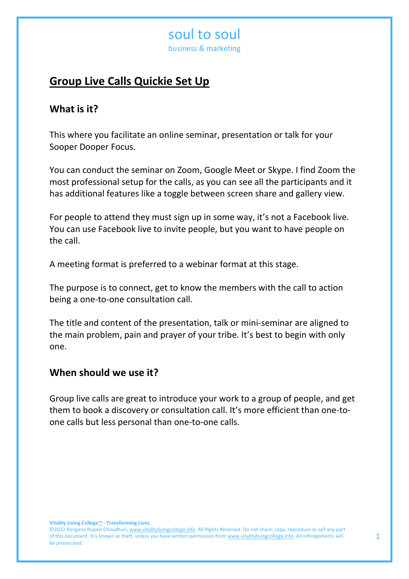business & marketing

## **Group Live Calls Quickie Set Up**

### **What is it?**

This where you facilitate an online seminar, presentation or talk for your Sooper Dooper Focus.

You can conduct the seminar on Zoom, Google Meet or Skype. I find Zoom the most professional setup for the calls, as you can see all the participants and it has additional features like a toggle between screen share and gallery view.

For people to attend they must sign up in some way, it's not a Facebook live. You can use Facebook live to invite people, but you want to have people on the call.

A meeting format is preferred to a webinar format at this stage.

The purpose is to connect, get to know the members with the call to action being a one-to-one consultation call.

The title and content of the presentation, talk or mini-seminar are aligned to the main problem, pain and prayer of your tribe. It's best to begin with only one.

### **When should we use it?**

Group live calls are great to introduce your work to a group of people, and get them to book a discovery or consultation call. It's more efficient than one-toone calls but less personal than one-to-one calls.

<sup>©2022</sup> Rangana Rupavi Choudhuri[, www.vitalitylivingcollege.info.](about:blank) All Rights Reserved. Do not share, copy, reproduce or sell any part of this document, it is known as theft, unless you have written permission fro[m www.vitalitylivingcollege.info.](about:blank) All infringements will be prosecuted.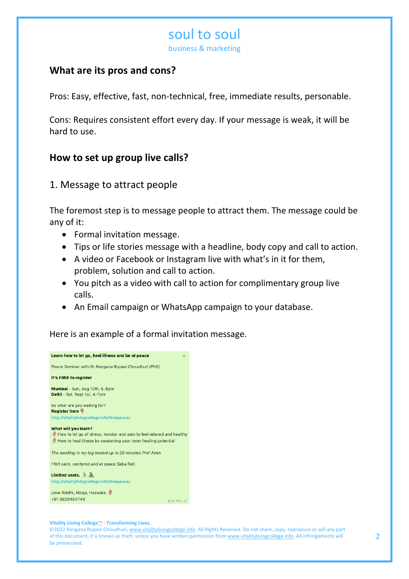business & marketing

## **What are its pros and cons?**

Pros: Easy, effective, fast, non-technical, free, immediate results, personable.

Cons: Requires consistent effort every day. If your message is weak, it will be hard to use.

## **How to set up group live calls?**

### 1. Message to attract people

The foremost step is to message people to attract them. The message could be any of it:

- Formal invitation message.
- Tips or life stories message with a headline, body copy and call to action.
- A video or Facebook or Instagram live with what's in it for them, problem, solution and call to action.
- You pitch as a video with call to action for complimentary group live calls.
- An Email campaign or WhatsApp campaign to your database.

Here is an example of a formal invitation message.



#### **Vitality Living College**™ **- Transforming Lives.**

©2022 Rangana Rupavi Choudhuri[, www.vitalitylivingcollege.info.](about:blank) All Rights Reserved. Do not share, copy, reproduce or sell any part of this document, it is known as theft, unless you have written permission fro[m www.vitalitylivingcollege.info.](about:blank) All infringements will be prosecuted.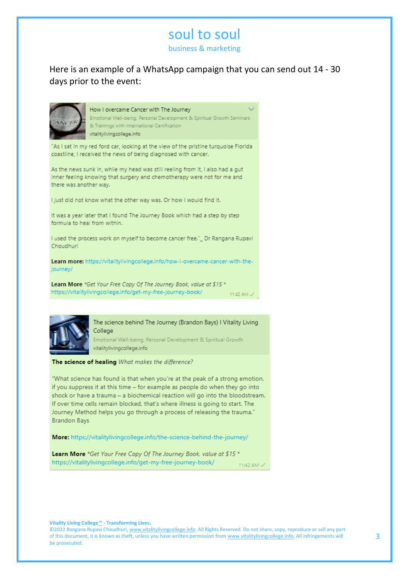business & marketing

Here is an example of a WhatsApp campaign that you can send out 14 - 30 days prior to the event:



#### How I overcame Cancer with The Journey

Emotional Well-being, Personal Development & Spiritual Growth Seminars & Trainings with International Certification vitalitylivingcollege.info

"As I sat in my red ford car, looking at the view of the pristine turquoise Florida coastline, I received the news of being diagnosed with cancer.

As the news sunk in, while my head was still reeling from it, I also had a gut inner feeling knowing that surgery and chemotherapy were not for me and there was another way.

I just did not know what the other way was. Or how I would find it.

It was a year later that I found The Journey Book which had a step by step formula to heal from within.

I used the process work on myself to become cancer free." Dr Rangana Rupavi Choudhuri

Learn more: https://vitalitylivingcollege.info/how-i-overcame-cancer-with-thejourney/

Learn More \*Get Your Free Copy Of The Journey Book, value at \$15 \* https://vitalitylivingcollege.info/get-my-free-journey-book/ 11:42 AM  $\checkmark$ 



The science behind The Journey (Brandon Bays) I Vitality Living College

Emotional Well-being, Personal Development & Spiritual Growth vitalitylivingcollege.info

#### The science of healing What makes the difference?

"What science has found is that when you're at the peak of a strong emotion, if you suppress it at this time - for example as people do when they go into shock or have a trauma - a biochemical reaction will go into the bloodstream. If over time cells remain blocked, that's where illness is going to start. The Journey Method helps you go through a process of releasing the trauma." **Brandon Bays** 

#### More: https://vitalitylivingcollege.info/the-science-behind-the-journey/

Learn More \*Get Your Free Copy Of The Journey Book, value at \$15 \* https://vitalitylivingcollege.info/get-my-free-journey-book/ 11:42 AM  $\checkmark$ 

**Vitality Living College**™ **- Transforming Lives.**

©2022 Rangana Rupavi Choudhuri[, www.vitalitylivingcollege.info.](about:blank) All Rights Reserved. Do not share, copy, reproduce or sell any part of this document, it is known as theft, unless you have written permission fro[m www.vitalitylivingcollege.info.](about:blank) All infringements will be prosecuted.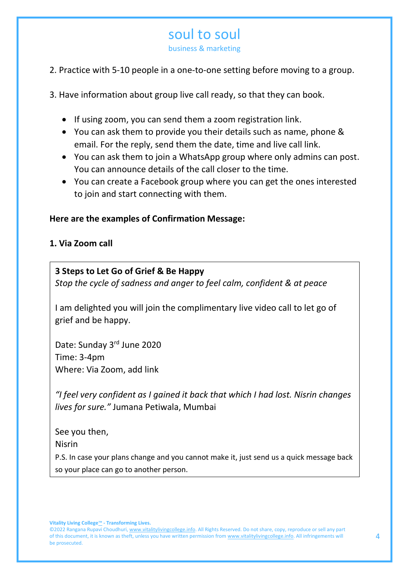business & marketing

### 2. Practice with 5-10 people in a one-to-one setting before moving to a group.

3. Have information about group live call ready, so that they can book.

- If using zoom, you can send them a zoom registration link.
- You can ask them to provide you their details such as name, phone & email. For the reply, send them the date, time and live call link.
- You can ask them to join a WhatsApp group where only admins can post. You can announce details of the call closer to the time.
- You can create a Facebook group where you can get the ones interested to join and start connecting with them.

### **Here are the examples of Confirmation Message:**

### **1. Via Zoom call**

### **3 Steps to Let Go of Grief & Be Happy**

*Stop the cycle of sadness and anger to feel calm, confident & at peace*

I am delighted you will join the complimentary live video call to let go of grief and be happy.

Date: Sunday 3rd June 2020 Time: 3-4pm Where: Via Zoom, add link

*"I feel very confident as I gained it back that which I had lost. Nisrin changes lives for sure."* Jumana Petiwala, Mumbai

See you then,

Nisrin

P.S. In case your plans change and you cannot make it, just send us a quick message back so your place can go to another person.

<sup>©2022</sup> Rangana Rupavi Choudhuri[, www.vitalitylivingcollege.info.](about:blank) All Rights Reserved. Do not share, copy, reproduce or sell any part of this document, it is known as theft, unless you have written permission fro[m www.vitalitylivingcollege.info.](about:blank) All infringements will be prosecuted.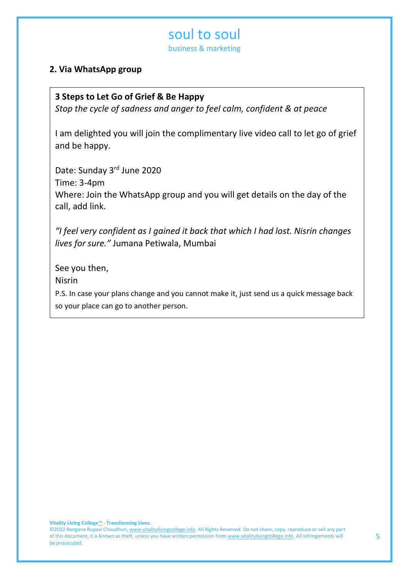business & marketing

### **2. Via WhatsApp group**

#### **3 Steps to Let Go of Grief & Be Happy**

*Stop the cycle of sadness and anger to feel calm, confident & at peace*

I am delighted you will join the complimentary live video call to let go of grief and be happy.

Date: Sunday 3rd June 2020 Time: 3-4pm Where: Join the WhatsApp group and you will get details on the day of the call, add link.

*"I feel very confident as I gained it back that which I had lost. Nisrin changes lives for sure."* Jumana Petiwala, Mumbai

See you then, Nisrin

P.S. In case your plans change and you cannot make it, just send us a quick message back so your place can go to another person.

<sup>©2022</sup> Rangana Rupavi Choudhuri[, www.vitalitylivingcollege.info.](about:blank) All Rights Reserved. Do not share, copy, reproduce or sell any part of this document, it is known as theft, unless you have written permission fro[m www.vitalitylivingcollege.info.](about:blank) All infringements will be prosecuted.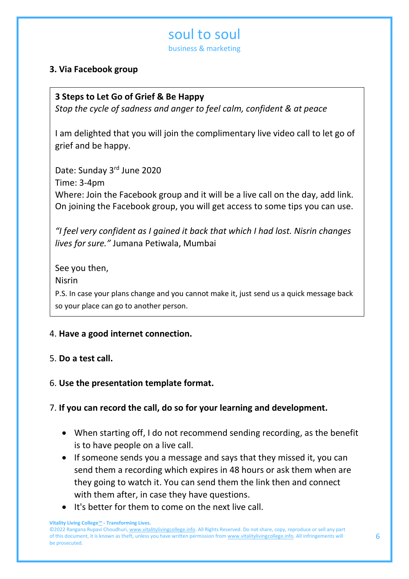business & marketing

### **3. Via Facebook group**

### **3 Steps to Let Go of Grief & Be Happy**

*Stop the cycle of sadness and anger to feel calm, confident & at peace*

I am delighted that you will join the complimentary live video call to let go of grief and be happy.

Date: Sunday 3rd June 2020 Time: 3-4pm Where: Join the Facebook group and it will be a live call on the day, add link. On joining the Facebook group, you will get access to some tips you can use.

*"I feel very confident as I gained it back that which I had lost. Nisrin changes lives for sure."* Jumana Petiwala, Mumbai

See you then, Nisrin P.S. In case your plans change and you cannot make it, just send us a quick message back so your place can go to another person.

#### 4. **Have a good internet connection.** *Love Rangana"*

### 5. **Do a test call.**

### 6. **Use the presentation template format.**

### 7. **If you can record the call, do so for your learning and development.**

- When starting off, I do not recommend sending recording, as the benefit is to have people on a live call.
- If someone sends you a message and says that they missed it, you can send them a recording which expires in 48 hours or ask them when are they going to watch it. You can send them the link then and connect with them after, in case they have questions.
- It's better for them to come on the next live call.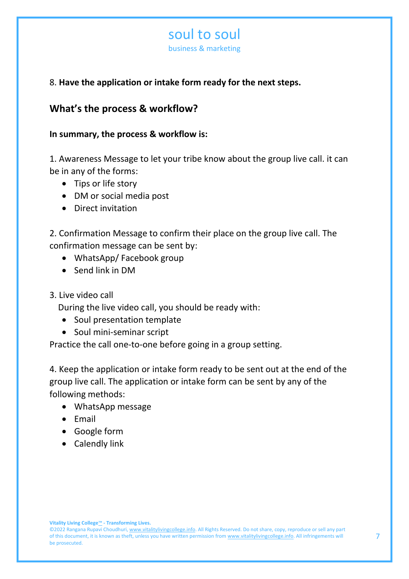business & marketing

### 8. **Have the application or intake form ready for the next steps.**

### **What's the process & workflow?**

### **In summary, the process & workflow is:**

1. Awareness Message to let your tribe know about the group live call. it can be in any of the forms:

- Tips or life story
- DM or social media post
- Direct invitation

2. Confirmation Message to confirm their place on the group live call. The confirmation message can be sent by:

- WhatsApp/ Facebook group
- Send link in DM
- 3. Live video call

During the live video call, you should be ready with:

- Soul presentation template
- Soul mini-seminar script

Practice the call one-to-one before going in a group setting.

4. Keep the application or intake form ready to be sent out at the end of the group live call. The application or intake form can be sent by any of the following methods:

- WhatsApp message
- Email
- Google form
- Calendly link

<sup>©2022</sup> Rangana Rupavi Choudhuri[, www.vitalitylivingcollege.info.](about:blank) All Rights Reserved. Do not share, copy, reproduce or sell any part of this document, it is known as theft, unless you have written permission fro[m www.vitalitylivingcollege.info.](about:blank) All infringements will be prosecuted.